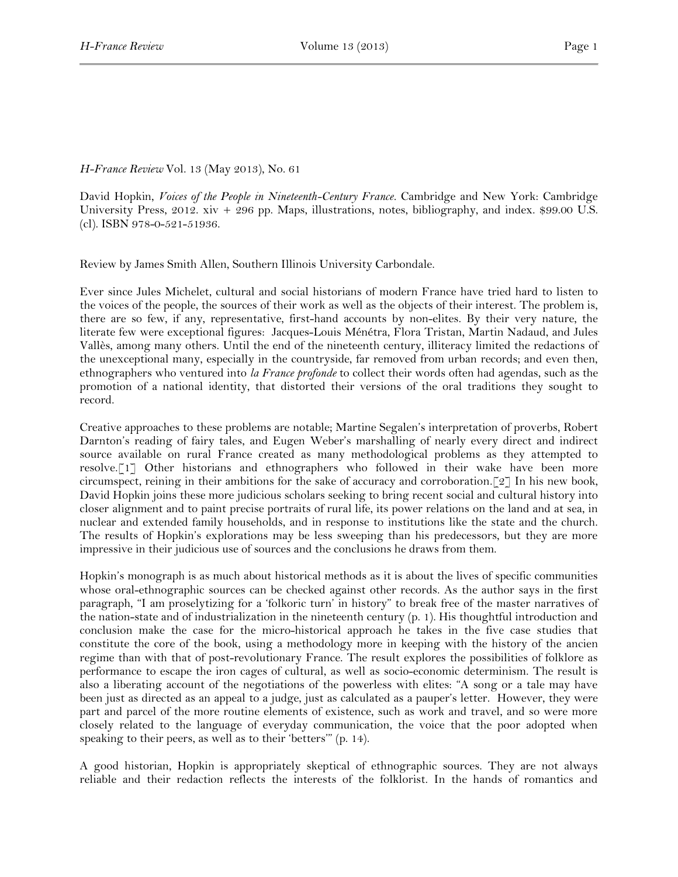## *H-France Review* Vol. 13 (May 2013), No. 61

David Hopkin, *Voices of the People in Nineteenth-Century France.* Cambridge and New York: Cambridge University Press,  $2012. xiv + 296$  pp. Maps, illustrations, notes, bibliography, and index. \$99.00 U.S. (cl). ISBN 978-0-521-51936.

Review by James Smith Allen, Southern Illinois University Carbondale.

Ever since Jules Michelet, cultural and social historians of modern France have tried hard to listen to the voices of the people, the sources of their work as well as the objects of their interest. The problem is, there are so few, if any, representative, first-hand accounts by non-elites. By their very nature, the literate few were exceptional figures: Jacques-Louis Ménétra, Flora Tristan, Martin Nadaud, and Jules Vallès, among many others. Until the end of the nineteenth century, illiteracy limited the redactions of the unexceptional many, especially in the countryside, far removed from urban records; and even then, ethnographers who ventured into *la France profonde* to collect their words often had agendas, such as the promotion of a national identity, that distorted their versions of the oral traditions they sought to record.

Creative approaches to these problems are notable; Martine Segalen's interpretation of proverbs, Robert Darnton's reading of fairy tales, and Eugen Weber's marshalling of nearly every direct and indirect source available on rural France created as many methodological problems as they attempted to resolve.[1] Other historians and ethnographers who followed in their wake have been more circumspect, reining in their ambitions for the sake of accuracy and corroboration.[2] In his new book, David Hopkin joins these more judicious scholars seeking to bring recent social and cultural history into closer alignment and to paint precise portraits of rural life, its power relations on the land and at sea, in nuclear and extended family households, and in response to institutions like the state and the church. The results of Hopkin's explorations may be less sweeping than his predecessors, but they are more impressive in their judicious use of sources and the conclusions he draws from them.

Hopkin's monograph is as much about historical methods as it is about the lives of specific communities whose oral-ethnographic sources can be checked against other records. As the author says in the first paragraph, "I am proselytizing for a 'folkoric turn' in history" to break free of the master narratives of the nation-state and of industrialization in the nineteenth century (p. 1). His thoughtful introduction and conclusion make the case for the micro-historical approach he takes in the five case studies that constitute the core of the book, using a methodology more in keeping with the history of the ancien regime than with that of post-revolutionary France. The result explores the possibilities of folklore as performance to escape the iron cages of cultural, as well as socio-economic determinism. The result is also a liberating account of the negotiations of the powerless with elites: "A song or a tale may have been just as directed as an appeal to a judge, just as calculated as a pauper's letter. However, they were part and parcel of the more routine elements of existence, such as work and travel, and so were more closely related to the language of everyday communication, the voice that the poor adopted when speaking to their peers, as well as to their 'betters'" (p. 14).

A good historian, Hopkin is appropriately skeptical of ethnographic sources. They are not always reliable and their redaction reflects the interests of the folklorist. In the hands of romantics and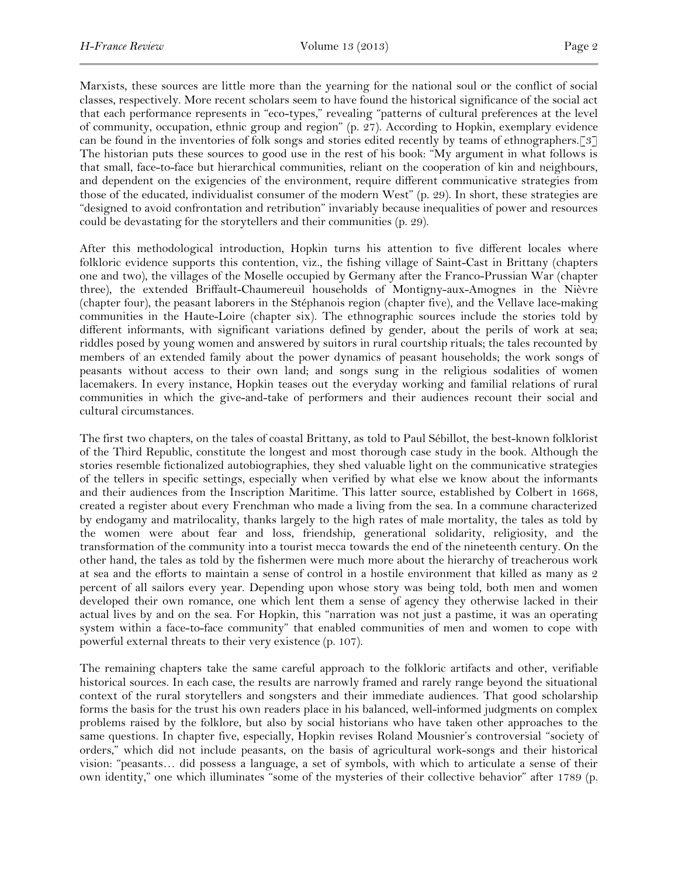Marxists, these sources are little more than the yearning for the national soul or the conflict of social classes, respectively. More recent scholars seem to have found the historical significance of the social act that each performance represents in "eco-types," revealing "patterns of cultural preferences at the level of community, occupation, ethnic group and region" (p. 27). According to Hopkin, exemplary evidence can be found in the inventories of folk songs and stories edited recently by teams of ethnographers.[3] The historian puts these sources to good use in the rest of his book: "My argument in what follows is that small, face-to-face but hierarchical communities, reliant on the cooperation of kin and neighbours, and dependent on the exigencies of the environment, require different communicative strategies from those of the educated, individualist consumer of the modern West" (p. 29). In short, these strategies are "designed to avoid confrontation and retribution" invariably because inequalities of power and resources could be devastating for the storytellers and their communities (p. 29).

After this methodological introduction, Hopkin turns his attention to five different locales where folkloric evidence supports this contention, viz., the fishing village of Saint-Cast in Brittany (chapters one and two), the villages of the Moselle occupied by Germany after the Franco-Prussian War (chapter three), the extended Briffault-Chaumereuil households of Montigny-aux-Amognes in the Nièvre (chapter four), the peasant laborers in the Stéphanois region (chapter five), and the Vellave lace-making communities in the Haute-Loire (chapter six). The ethnographic sources include the stories told by different informants, with significant variations defined by gender, about the perils of work at sea; riddles posed by young women and answered by suitors in rural courtship rituals; the tales recounted by members of an extended family about the power dynamics of peasant households; the work songs of peasants without access to their own land; and songs sung in the religious sodalities of women lacemakers. In every instance, Hopkin teases out the everyday working and familial relations of rural communities in which the give-and-take of performers and their audiences recount their social and cultural circumstances.

The first two chapters, on the tales of coastal Brittany, as told to Paul Sébillot, the best-known folklorist of the Third Republic, constitute the longest and most thorough case study in the book. Although the stories resemble fictionalized autobiographies, they shed valuable light on the communicative strategies of the tellers in specific settings, especially when verified by what else we know about the informants and their audiences from the Inscription Maritime. This latter source, established by Colbert in 1668, created a register about every Frenchman who made a living from the sea. In a commune characterized by endogamy and matrilocality, thanks largely to the high rates of male mortality, the tales as told by the women were about fear and loss, friendship, generational solidarity, religiosity, and the transformation of the community into a tourist mecca towards the end of the nineteenth century. On the other hand, the tales as told by the fishermen were much more about the hierarchy of treacherous work at sea and the efforts to maintain a sense of control in a hostile environment that killed as many as 2 percent of all sailors every year. Depending upon whose story was being told, both men and women developed their own romance, one which lent them a sense of agency they otherwise lacked in their actual lives by and on the sea. For Hopkin, this "narration was not just a pastime, it was an operating system within a face-to-face community" that enabled communities of men and women to cope with powerful external threats to their very existence (p. 107).

The remaining chapters take the same careful approach to the folkloric artifacts and other, verifiable historical sources. In each case, the results are narrowly framed and rarely range beyond the situational context of the rural storytellers and songsters and their immediate audiences. That good scholarship forms the basis for the trust his own readers place in his balanced, well-informed judgments on complex problems raised by the folklore, but also by social historians who have taken other approaches to the same questions. In chapter five, especially, Hopkin revises Roland Mousnier's controversial "society of orders," which did not include peasants, on the basis of agricultural work-songs and their historical vision: "peasants… did possess a language, a set of symbols, with which to articulate a sense of their own identity," one which illuminates "some of the mysteries of their collective behavior" after 1789 (p.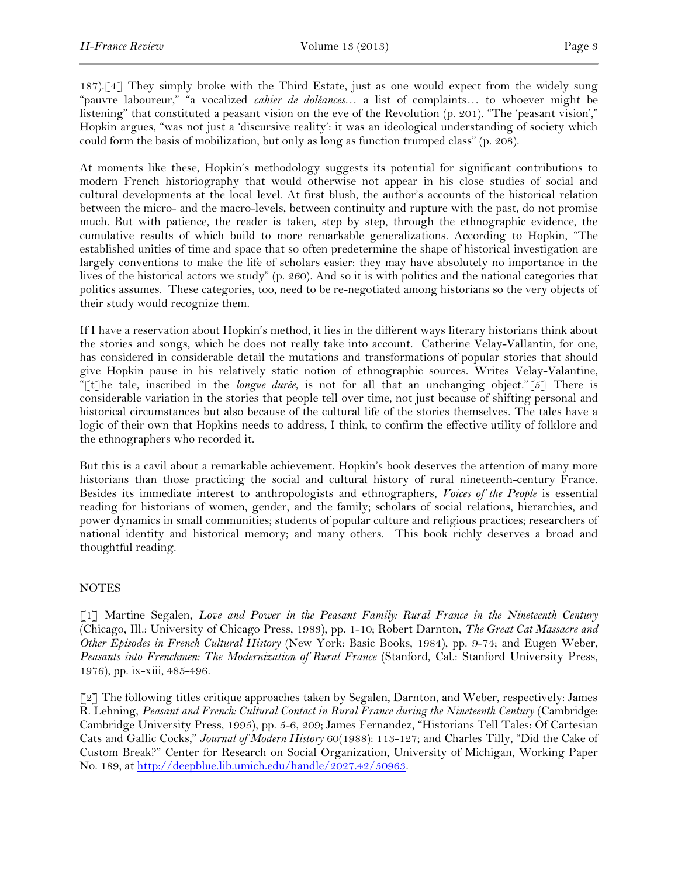187).[4] They simply broke with the Third Estate, just as one would expect from the widely sung "pauvre laboureur," "a vocalized *cahier de doléances*… a list of complaints… to whoever might be listening" that constituted a peasant vision on the eve of the Revolution (p. 201). "The 'peasant vision'," Hopkin argues, "was not just a 'discursive reality': it was an ideological understanding of society which could form the basis of mobilization, but only as long as function trumped class" (p. 208).

At moments like these, Hopkin's methodology suggests its potential for significant contributions to modern French historiography that would otherwise not appear in his close studies of social and cultural developments at the local level. At first blush, the author's accounts of the historical relation between the micro- and the macro-levels, between continuity and rupture with the past, do not promise much. But with patience, the reader is taken, step by step, through the ethnographic evidence, the cumulative results of which build to more remarkable generalizations. According to Hopkin, "The established unities of time and space that so often predetermine the shape of historical investigation are largely conventions to make the life of scholars easier: they may have absolutely no importance in the lives of the historical actors we study" (p. 260). And so it is with politics and the national categories that politics assumes. These categories, too, need to be re-negotiated among historians so the very objects of their study would recognize them.

If I have a reservation about Hopkin's method, it lies in the different ways literary historians think about the stories and songs, which he does not really take into account. Catherine Velay-Vallantin, for one, has considered in considerable detail the mutations and transformations of popular stories that should give Hopkin pause in his relatively static notion of ethnographic sources. Writes Velay-Valantine, "[t]he tale, inscribed in the *longue durée*, is not for all that an unchanging object."[5] There is considerable variation in the stories that people tell over time, not just because of shifting personal and historical circumstances but also because of the cultural life of the stories themselves. The tales have a logic of their own that Hopkins needs to address, I think, to confirm the effective utility of folklore and the ethnographers who recorded it.

But this is a cavil about a remarkable achievement. Hopkin's book deserves the attention of many more historians than those practicing the social and cultural history of rural nineteenth-century France. Besides its immediate interest to anthropologists and ethnographers, *Voices of the People* is essential reading for historians of women, gender, and the family; scholars of social relations, hierarchies, and power dynamics in small communities; students of popular culture and religious practices; researchers of national identity and historical memory; and many others. This book richly deserves a broad and thoughtful reading.

## NOTES

[1] Martine Segalen, *Love and Power in the Peasant Family: Rural France in the Nineteenth Century* (Chicago, Ill.: University of Chicago Press, 1983), pp. 1-10; Robert Darnton, *The Great Cat Massacre and Other Episodes in French Cultural History* (New York: Basic Books, 1984), pp. 9-74; and Eugen Weber, *Peasants into Frenchmen: The Modernization of Rural France* (Stanford, Cal.: Stanford University Press, 1976), pp. ix-xiii, 485-496.

[2] The following titles critique approaches taken by Segalen, Darnton, and Weber, respectively: James R. Lehning, *Peasant and French: Cultural Contact in Rural France during the Nineteenth Century* (Cambridge: Cambridge University Press, 1995), pp. 5-6, 209; James Fernandez, "Historians Tell Tales: Of Cartesian Cats and Gallic Cocks," *Journal of Modern History* 60(1988): 113-127; and Charles Tilly, "Did the Cake of Custom Break?" Center for Research on Social Organization, University of Michigan, Working Paper No. 189, at [http://deepblue.lib.umich.edu/handle/2027.42/50963.](http://deepblue.lib.umich.edu/handle/2027.42/50963)